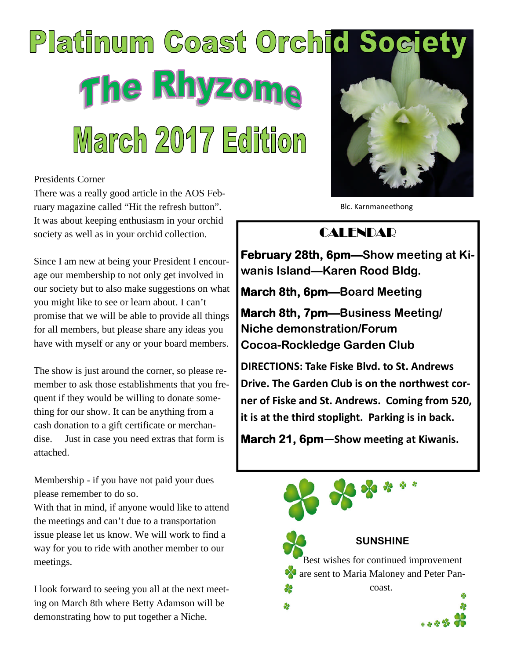# Platinum Coast Orchid Socie The Rhyzoma March 2017 Edition

#### Presidents Corner

There was a really good article in the AOS February magazine called "Hit the refresh button". It was about keeping enthusiasm in your orchid society as well as in your orchid collection.

Since I am new at being your President I encourage our membership to not only get involved in our society but to also make suggestions on what you might like to see or learn about. I can't promise that we will be able to provide all things for all members, but please share any ideas you have with myself or any or your board members.

The show is just around the corner, so please remember to ask those establishments that you frequent if they would be willing to donate something for our show. It can be anything from a cash donation to a gift certificate or merchandise. Just in case you need extras that form is attached.

Membership - if you have not paid your dues please remember to do so.

With that in mind, if anyone would like to attend the meetings and can't due to a transportation issue please let us know. We will work to find a way for you to ride with another member to our meetings.

I look forward to seeing you all at the next meeting on March 8th where Betty Adamson will be demonstrating how to put together a Niche.



Blc. Karnmaneethong

# **CALENDAR**

**February 28th, 6pm—Show meeting at Kiwanis Island—Karen Rood Bldg.**

**March 8th, 6pm—Board Meeting**

**March 8th, 7pm—Business Meeting/ Niche demonstration/Forum Cocoa-Rockledge Garden Club**

**DIRECTIONS: Take Fiske Blvd. to St. Andrews Drive. The Garden Club is on the northwest corner of Fiske and St. Andrews. Coming from 520, it is at the third stoplight. Parking is in back.**

**March 21, 6pm**—Show meeting at Kiwanis.

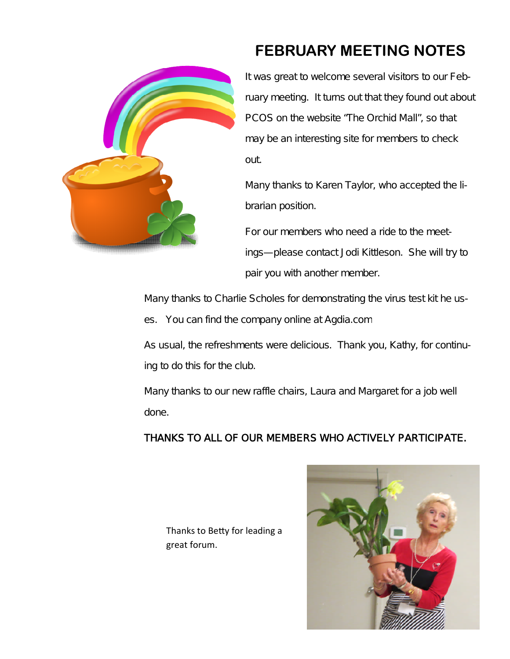

# **FEBRUARY MEETING NOTES**

It was great to welcome several visitors to our February meeting. It turns out that they found out about PCOS on the website "The Orchid Mall", so that may be an interesting site for members to check out.

Many thanks to Karen Taylor, who accepted the librarian position.

For our members who need a ride to the meetings—please contact Jodi Kittleson. She will try to pair you with another member.

Many thanks to Charlie Scholes for demonstrating the virus test kit he uses. You can find the company online at Agdia.com

As usual, the refreshments were delicious. Thank you, Kathy, for continuing to do this for the club.

Many thanks to our new raffle chairs, Laura and Margaret for a job well done.

## THANKS TO ALL OF OUR MEMBERS WHO ACTIVELY PARTICIPATE.

Thanks to Betty for leading a great forum.

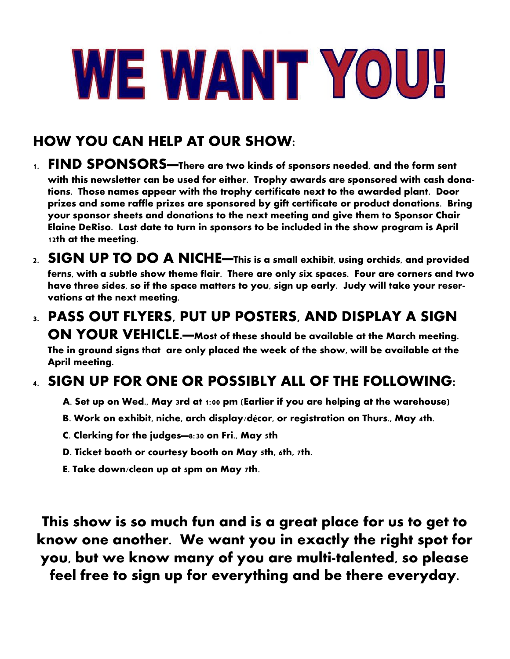# WE WANT YOU!

# **HOW YOU CAN HELP AT OUR SHOW:**

- **1. FIND SPONSORS—There are two kinds of sponsors needed, and the form sent with this newsletter can be used for either. Trophy awards are sponsored with cash donations. Those names appear with the trophy certificate next to the awarded plant. Door prizes and some raffle prizes are sponsored by gift certificate or product donations. Bring your sponsor sheets and donations to the next meeting and give them to Sponsor Chair Elaine DeRiso. Last date to turn in sponsors to be included in the show program is April 12th at the meeting.**
- **2. SIGN UP TO DO A NICHE—This is a small exhibit, using orchids, and provided ferns, with a subtle show theme flair. There are only six spaces. Four are corners and two have three sides, so if the space matters to you, sign up early. Judy will take your reservations at the next meeting.**
- **3. PASS OUT FLYERS, PUT UP POSTERS, AND DISPLAY A SIGN ON YOUR VEHICLE.—Most of these should be available at the March meeting. The in ground signs that are only placed the week of the show, will be available at the April meeting.**

# **4. SIGN UP FOR ONE OR POSSIBLY ALL OF THE FOLLOWING:**

- **A. Set up on Wed., May 3rd at 1:00 pm (Earlier if you are helping at the warehouse)**
- **B. Work on exhibit, niche, arch display/décor, or registration on Thurs., May 4th.**
- **C. Clerking for the judges—8:30 on Fri., May 5th**
- **D. Ticket booth or courtesy booth on May 5th, 6th, 7th.**
- **E. Take down/clean up at 5pm on May 7th.**

**This show is so much fun and is a great place for us to get to know one another. We want you in exactly the right spot for you, but we know many of you are multi-talented, so please feel free to sign up for everything and be there everyday.**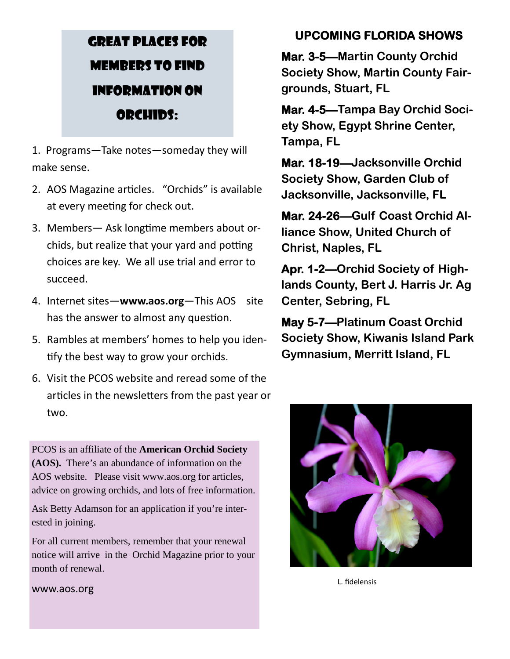# GREAT PLACES FOR MEMBERS TO FIND INFORMATION ON ORCHIDS:

1. Programs—Take notes—someday they will make sense.

- 2. AOS Magazine articles. "Orchids" is available at every meeting for check out.
- 3. Members— Ask longtime members about orchids, but realize that your yard and potting choices are key. We all use trial and error to succeed.
- 4. Internet sites—**www.aos.org**—This AOS site has the answer to almost any question.
- 5. Rambles at members' homes to help you identify the best way to grow your orchids.
- 6. Visit the PCOS website and reread some of the articles in the newsletters from the past year or two.

PCOS is an affiliate of the **American Orchid Society (AOS).** There's an abundance of information on the AOS website. Please visit www.aos.org for articles, advice on growing orchids, and lots of free information.

Ask Betty Adamson for an application if you're interested in joining.

For all current members, remember that your renewal notice will arrive in the Orchid Magazine prior to your month of renewal.

# **UPCOMING FLORIDA SHOWS**

**Mar. 3-5—Martin County Orchid Society Show, Martin County Fairgrounds, Stuart, FL**

**Mar. 4-5—Tampa Bay Orchid Society Show, Egypt Shrine Center, Tampa, FL**

**Mar. 18-19—Jacksonville Orchid Society Show, Garden Club of Jacksonville, Jacksonville, FL**

**Mar. 24-26—Gulf Coast Orchid Alliance Show, United Church of Christ, Naples, FL**

**Apr. 1-2—Orchid Society of Highlands County, Bert J. Harris Jr. Ag Center, Sebring, FL**

**May 5-7—Platinum Coast Orchid Society Show, Kiwanis Island Park Gymnasium, Merritt Island, FL**



L. fidelensis

www.aos.org